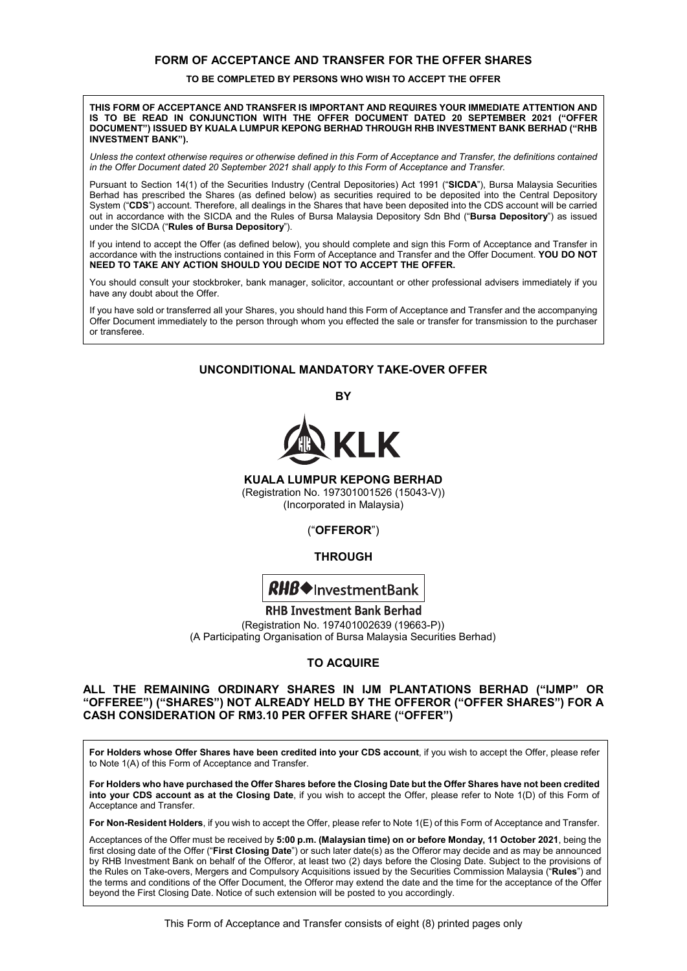### **FORM OF ACCEPTANCE AND TRANSFER FOR THE OFFER SHARES FORM OF ACCEPTANCE AND TRANSFER FOR THE OFFER SHARES FORM OF ACCEPTANCE AND TRANSFER FOR THE OFFER SHARES**

#### **TO BE COMPLETED BY PERSONS WHO WISH TO ACCEPT THE OFFER TO BE COMPLETED BY PERSONS WHO WISH TO ACCEPT THE OFFER TO BE COMPLETED BY PERSONS WHO WISH TO ACCEPT THE OFFER**

#### **THIS FORM OF ACCEPTANCE AND TRANSFER IS IMPORTANT AND REQUIRES YOUR IMMEDIATE ATTENTION AND THIS FORM OF ACCEPTANCE AND TRANSFER IS IMPORTANT AND REQUIRES YOUR IMMEDIATE ATTENTION AND**  IS TO BE READ IN CONJUNCTION WITH THE OFFER DOCUMENT DATED 20 SEPTEMBER 2021 ("OFFER DOCUMENT") ISSUED BY KUALA LUMPUR KEPONG BERHAD THROUGH RHB INVESTMENT BANK BERHAD ("RHB **INVESTMENT BANK"). INVESTMENT BANK"). INVESTMENT BANK").** DOCUMENT BANK")<br>DOCUMENT BANK")

| Unless the context otherwise requires or otherwise defined in this Form of Acceptance and Transfer, the definitions contained in the Offer Document dated 20 September 2021 shall apply to this Form of Acceptance and Transfer. *in the Offer Document dated 20 September 2021 shall apply to this Form of Acceptance and Transfer.*

Pursuant to Section 14(1) of the Securities Industry (Central Depositories) Act 1991 ("SICDA"), Bursa Malaysia Securities Berhad has prescribed the Shares (as defined below) as securities required to be deposited into the Central Depository System ("CDS") account. Therefore, all dealings in the Shares that have been deposited into the CDS account will be carried out in accordance with the SICDA and the Rules of Bursa Malaysia Depository Sdn Bhd ("Bursa Depository") as issued under the SICDA ("**Rules of Bursa Depository**"). under the SICDA ("**Rules of Bursa Depository**"). under the SICDA ("**Rules of Bursa Depository**"). out in accordance with the SICDA and the Rules of Bursa Malaysia Depository Sdn Bhd ("**Bursa Depository**") as issued

If you intend to accept the Offer (as defined below), you should complete and sign this Form of Acceptance and Transfer in accordance with the instructions contained in this Form of Acceptance and Transfer and the Offer Document. YOU DO NOT NEED TO TAKE ANY ACTION SHOULD YOU DECIDE NOT TO ACCEPT THE OFFER. **NEED TO TAKE ANY ACTION SHOULD YOU DECIDE NOT TO ACCEPT THE OFFER.**

You should consult your stockbroker, bank manager, solicitor, accountant or other professional advisers immediately if you<br>Libave any doubt about the Offer have any doubt about the Offer. have any doubt about the Offer. have any doubt about the Offer.

If you have sold or transferred all your Shares, you should hand this Form of Acceptance and Transfer and the accompanying Offer Document immediately to the person through whom you effected the sale or transfer for transmission to the purchaser or transferee. or transferee. or transferee. Offer Document immediately to the person through whom you effected the sale or transmission to the purchaser

## **UNCONDITIONAL MANDATORY TAKE-OVER OFFER UNCONDITIONAL MANDATORY TAKE-OVER OFFER UNCONDITIONAL MANDATORY TAKE-OVER OFFER**

**BY BY BY** 



**KUALA LUMPUR KEPONG BERHAD KUALA LUMPUR KEPONG BERHAD** 

**KUALA LUMI UN NET UNU BERHAD**<br>(Registration No. 197301001526 (15043-V)) (Incorporated in Malaysia) (Incorporated in Malaysia)

## ("**OFFEROR**") ("**OFFEROR**") ("**OFFEROR**")

## **THROUGH THROUGH THROUGH**



**RHB Investment Bank Berhad** (Registration No. 197401002639 (19663-P)) (Registration No. 197401002639 (19663-P)) (A Participating Organisation of Bursa Malaysia Securities Berhad) (A Participating Organisation of Bursa Malaysia Securities Berhad)

# **TO ACQUIRE TO ACQUIRE TO ACQUIRE**

#### **ALL THE REMAINING ORDINARY SHARES IN IJM PLANTATIONS BERHAD ("IJMP" OR ALL THE REMAINING ORDINARY SHARES IN IJM PLANTATIONS BERHAD ("IJMP" OR**  "OFFEREE") ("SHARES") NOT ALREADY HELD BY THE OFFEROR ("OFFER SHARES") FOR A **CASH CONSIDERATION OF RM3.10 PER OFFER SHARE ("OFFER") CASH CONSIDERATION OF RM3.10 PER OFFER SHARE ("OFFER")**

For Holders whose Offer Shares have been credited into your CDS account, if you wish to accept the Offer, please refer to Note 1(A) of this Form of Acceptance and Transfer. to Note 1(A) of this Form of Acceptance and Transfer. to Note 1(A) of this Form of Acceptance and Transfer.

For Holders who have purchased the Offer Shares before the Closing Date but the Offer Shares have not been credited into your CDS account as at the Closing Date, if you wish to accept the Offer, please refer to Note 1(D) of this Form of Acceptance and Transfer. Acceptance and Transfer. Acceptance and Transfer.

For Non-Resident Holders, if you wish to accept the Offer, please refer to Note 1(E) of this Form of Acceptance and Transfer.

Acceptances of the Offer must be received by 5:00 p.m. (Malaysian time) on or before Monday, 11 October 2021, being the first closing date of the Offer ("First Closing Date") or such later date(s) as the Offeror may decide and as may be announced by RHB Investment Bank on behalf of the Offeror, at least two (2) days before the Closing Date. Subject to the provisions of the Rules on Take-overs, Mergers and Compulsory Acquisitions issued by the Securities Commission Malaysia ("Rules") and the terms and conditions of the Offer Document, the Offeror may extend the date and the time for the acceptance of the Offer beyond the First Closing Date. Notice of such extension will be posted to you accordingly.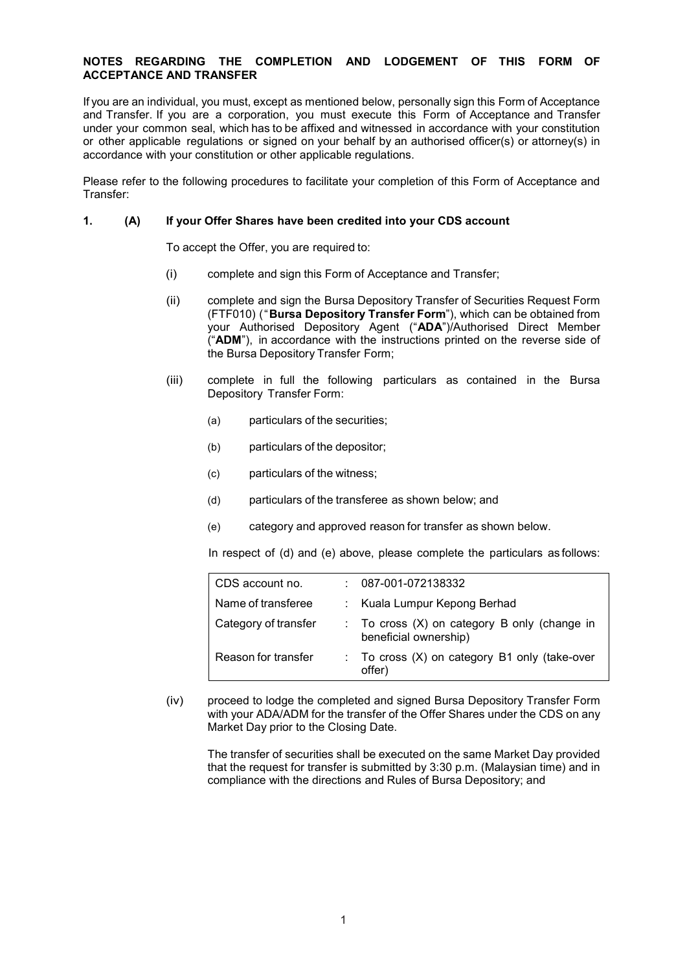### **NOTES REGARDING THE COMPLETION AND LODGEMENT OF THIS FORM OF ACCEPTANCE AND TRANSFER**

If you are an individual, you must, except as mentioned below, personally sign this Form of Acceptance and Transfer. If you are a corporation, you must execute this Form of Acceptance and Transfer under your common seal, which has to be affixed and witnessed in accordance with your constitution or other applicable regulations or signed on your behalf by an authorised officer(s) or attorney(s) in accordance with your constitution or other applicable regulations.

Please refer to the following procedures to facilitate your completion of this Form of Acceptance and Transfer:

### **1. (A) If your Offer Shares have been credited into your CDS account**

To accept the Offer, you are required to:

- (i) complete and sign this Form of Acceptance and Transfer;
- (ii) complete and sign the Bursa Depository Transfer of Securities Request Form (FTF010) ("**Bursa Depository Transfer Form**"), which can be obtained from your Authorised Depository Agent ("**ADA**")/Authorised Direct Member ("**ADM**"), in accordance with the instructions printed on the reverse side of the Bursa Depository Transfer Form;
- (iii) complete in full the following particulars as contained in the Bursa Depository Transfer Form:
	- (a) particulars of the securities;
	- (b) particulars of the depositor;
	- (c) particulars of the witness;
	- (d) particulars of the transferee as shown below; and
	- (e) category and approved reason for transfer as shown below.

In respect of (d) and (e) above, please complete the particulars as follows:

| CDS account no.      | 087-001-072138332                                                   |
|----------------------|---------------------------------------------------------------------|
| Name of transferee   | : Kuala Lumpur Kepong Berhad                                        |
| Category of transfer | To cross (X) on category B only (change in<br>beneficial ownership) |
| Reason for transfer  | To cross (X) on category B1 only (take-over<br>offer)               |

(iv) proceed to lodge the completed and signed Bursa Depository Transfer Form with your ADA/ADM for the transfer of the Offer Shares under the CDS on any Market Day prior to the Closing Date.

The transfer of securities shall be executed on the same Market Day provided that the request for transfer is submitted by 3:30 p.m. (Malaysian time) and in compliance with the directions and Rules of Bursa Depository; and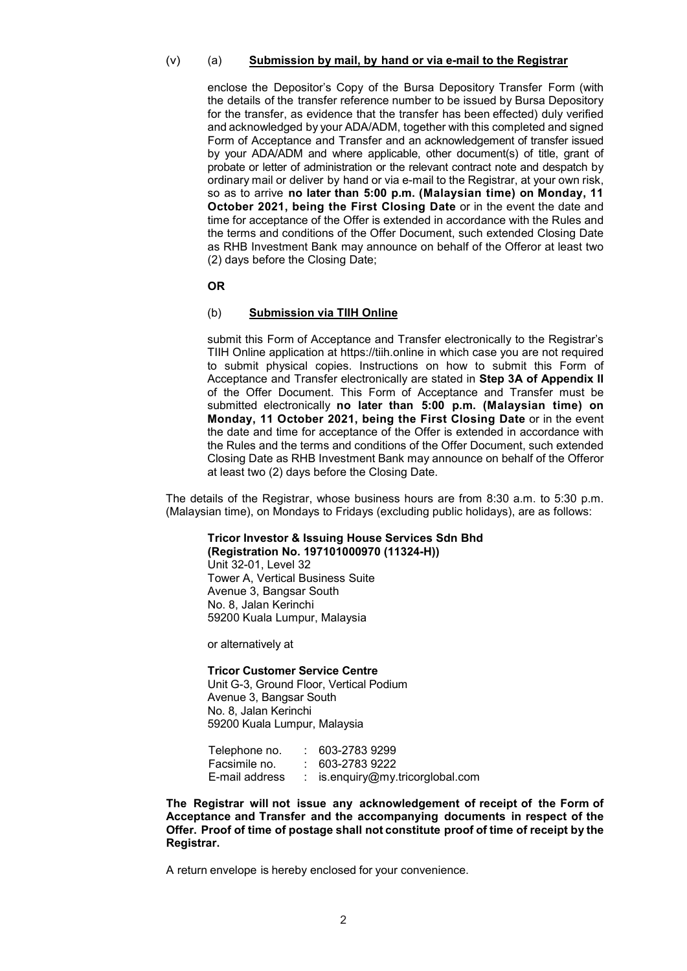#### (v) (a) **Submission by mail, by hand or via e-mail to the Registrar**

enclose the Depositor's Copy of the Bursa Depository Transfer Form (with the details of the transfer reference number to be issued by Bursa Depository for the transfer, as evidence that the transfer has been effected) duly verified and acknowledged by your ADA/ADM, together with this completed and signed Form of Acceptance and Transfer and an acknowledgement of transfer issued by your ADA/ADM and where applicable, other document(s) of title, grant of probate or letter of administration or the relevant contract note and despatch by ordinary mail or deliver by hand or via e-mail to the Registrar, at your own risk, so as to arrive **no later than 5:00 p.m. (Malaysian time) on Monday, 11 October 2021, being the First Closing Date or in the event the date and** time for acceptance of the Offer is extended in accordance with the Rules and the terms and conditions of the Offer Document, such extended Closing Date as RHB Investment Bank may announce on behalf of the Offeror at least two (2) days before the Closing Date;

**OR**

#### (b) **Submission via TIIH Online**

submit this Form of Acceptance and Transfer electronically to the Registrar's TIIH Online application at https://tiih.online in which case you are not required to submit physical copies. Instructions on how to submit this Form of Acceptance and Transfer electronically are stated in **Step 3A of Appendix II**  of the Offer Document. This Form of Acceptance and Transfer must be submitted electronically **no later than 5:00 p.m. (Malaysian time) on Monday, 11 October 2021, being the First Closing Date** or in the event the date and time for acceptance of the Offer is extended in accordance with the Rules and the terms and conditions of the Offer Document, such extended Closing Date as RHB Investment Bank may announce on behalf of the Offeror at least two (2) days before the Closing Date.

The details of the Registrar, whose business hours are from 8:30 a.m. to 5:30 p.m. (Malaysian time), on Mondays to Fridays (excluding public holidays), are as follows:

### **Tricor Investor & Issuing House Services Sdn Bhd (Registration No. 197101000970 (11324-H))**

Unit 32-01, Level 32 Tower A, Vertical Business Suite Avenue 3, Bangsar South No. 8, Jalan Kerinchi 59200 Kuala Lumpur, Malaysia

or alternatively at

**Tricor Customer Service Centre**  Unit G-3, Ground Floor, Vertical Podium Avenue 3, Bangsar South No. 8, Jalan Kerinchi 59200 Kuala Lumpur, Malaysia

| Telephone no.  | 603-2783 9299                    |
|----------------|----------------------------------|
| Facsimile no.  | $: 603 - 27839222$               |
| E-mail address | : is.enquiry@my.tricorglobal.com |

**The Registrar will not issue any acknowledgement of receipt of the Form of Acceptance and Transfer and the accompanying documents in respect of the Offer. Proof of time of postage shall not constitute proof of time of receipt by the Registrar.** 

A return envelope is hereby enclosed for your convenience.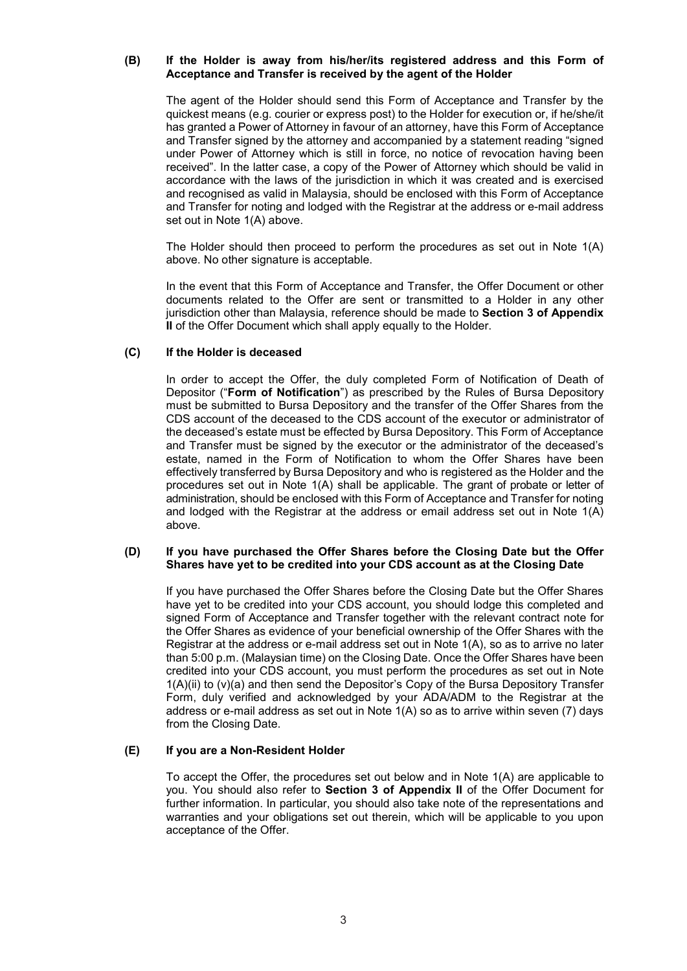#### **(B) If the Holder is away from his/her/its registered address and this Form of Acceptance and Transfer is received by the agent of the Holder**

The agent of the Holder should send this Form of Acceptance and Transfer by the quickest means (e.g. courier or express post) to the Holder for execution or, if he/she/it has granted a Power of Attorney in favour of an attorney, have this Form of Acceptance and Transfer signed by the attorney and accompanied by a statement reading "signed under Power of Attorney which is still in force, no notice of revocation having been received". In the latter case, a copy of the Power of Attorney which should be valid in accordance with the laws of the jurisdiction in which it was created and is exercised and recognised as valid in Malaysia, should be enclosed with this Form of Acceptance and Transfer for noting and lodged with the Registrar at the address or e-mail address set out in Note 1(A) above.

The Holder should then proceed to perform the procedures as set out in Note 1(A) above. No other signature is acceptable.

In the event that this Form of Acceptance and Transfer, the Offer Document or other documents related to the Offer are sent or transmitted to a Holder in any other jurisdiction other than Malaysia, reference should be made to **Section 3 of Appendix II** of the Offer Document which shall apply equally to the Holder.

### **(C) If the Holder is deceased**

In order to accept the Offer, the duly completed Form of Notification of Death of Depositor ("**Form of Notification**") as prescribed by the Rules of Bursa Depository must be submitted to Bursa Depository and the transfer of the Offer Shares from the CDS account of the deceased to the CDS account of the executor or administrator of the deceased's estate must be effected by Bursa Depository. This Form of Acceptance and Transfer must be signed by the executor or the administrator of the deceased's estate, named in the Form of Notification to whom the Offer Shares have been effectively transferred by Bursa Depository and who is registered as the Holder and the procedures set out in Note 1(A) shall be applicable. The grant of probate or letter of administration, should be enclosed with this Form of Acceptance and Transfer for noting and lodged with the Registrar at the address or email address set out in Note 1(A) above.

#### **(D) If you have purchased the Offer Shares before the Closing Date but the Offer Shares have yet to be credited into your CDS account as at the Closing Date**

If you have purchased the Offer Shares before the Closing Date but the Offer Shares have yet to be credited into your CDS account, you should lodge this completed and signed Form of Acceptance and Transfer together with the relevant contract note for the Offer Shares as evidence of your beneficial ownership of the Offer Shares with the Registrar at the address or e-mail address set out in Note 1(A), so as to arrive no later than 5:00 p.m. (Malaysian time) on the Closing Date. Once the Offer Shares have been credited into your CDS account, you must perform the procedures as set out in Note 1(A)(ii) to (v)(a) and then send the Depositor's Copy of the Bursa Depository Transfer Form, duly verified and acknowledged by your ADA/ADM to the Registrar at the address or e-mail address as set out in Note 1(A) so as to arrive within seven (7) days from the Closing Date.

#### **(E) If you are a Non-Resident Holder**

To accept the Offer, the procedures set out below and in Note 1(A) are applicable to you. You should also refer to **Section 3 of Appendix II** of the Offer Document for further information. In particular, you should also take note of the representations and warranties and your obligations set out therein, which will be applicable to you upon acceptance of the Offer.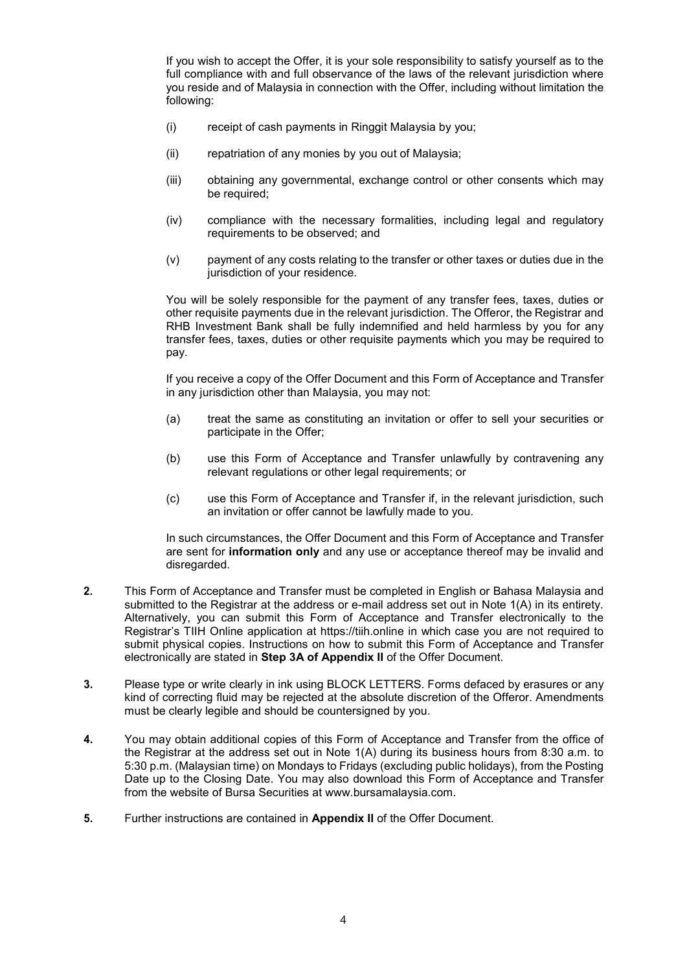If you wish to accept the Offer, it is your sole responsibility to satisfy yourself as to the full compliance with and full observance of the laws of the relevant jurisdiction where you reside and of Malaysia in connection with the Offer, including without limitation the following:

- (i) receipt of cash payments in Ringgit Malaysia by you;
- (ii) repatriation of any monies by you out of Malaysia;
- (iii) obtaining any governmental, exchange control or other consents which may be required;
- (iv) compliance with the necessary formalities, including legal and regulatory requirements to be observed; and
- (v) payment of any costs relating to the transfer or other taxes or duties due in the jurisdiction of your residence.

You will be solely responsible for the payment of any transfer fees, taxes, duties or other requisite payments due in the relevant jurisdiction. The Offeror, the Registrar and RHB Investment Bank shall be fully indemnified and held harmless by you for any transfer fees, taxes, duties or other requisite payments which you may be required to pay.

If you receive a copy of the Offer Document and this Form of Acceptance and Transfer in any jurisdiction other than Malaysia, you may not:

- (a) treat the same as constituting an invitation or offer to sell your securities or participate in the Offer;
- (b) use this Form of Acceptance and Transfer unlawfully by contravening any relevant regulations or other legal requirements; or
- (c) use this Form of Acceptance and Transfer if, in the relevant jurisdiction, such an invitation or offer cannot be lawfully made to you.

In such circumstances, the Offer Document and this Form of Acceptance and Transfer are sent for **information only** and any use or acceptance thereof may be invalid and disregarded.

- **2.** This Form of Acceptance and Transfer must be completed in English or Bahasa Malaysia and submitted to the Registrar at the address or e-mail address set out in Note 1(A) in its entirety. Alternatively, you can submit this Form of Acceptance and Transfer electronically to the Registrar's TIIH Online application at https://tiih.online in which case you are not required to submit physical copies. Instructions on how to submit this Form of Acceptance and Transfer electronically are stated in **Step 3A of Appendix II** of the Offer Document.
- **3.** Please type or write clearly in ink using BLOCK LETTERS. Forms defaced by erasures or any kind of correcting fluid may be rejected at the absolute discretion of the Offeror. Amendments must be clearly legible and should be countersigned by you.
- **4.** You may obtain additional copies of this Form of Acceptance and Transfer from the office of the Registrar at the address set out in Note 1(A) during its business hours from 8:30 a.m. to 5:30 p.m. (Malaysian time) on Mondays to Fridays (excluding public holidays), from the Posting Date up to the Closing Date. You may also download this Form of Acceptance and Transfer from the website of Bursa Securities at www.bursamalaysia.com.
- **5.** Further instructions are contained in **Appendix II** of the Offer Document.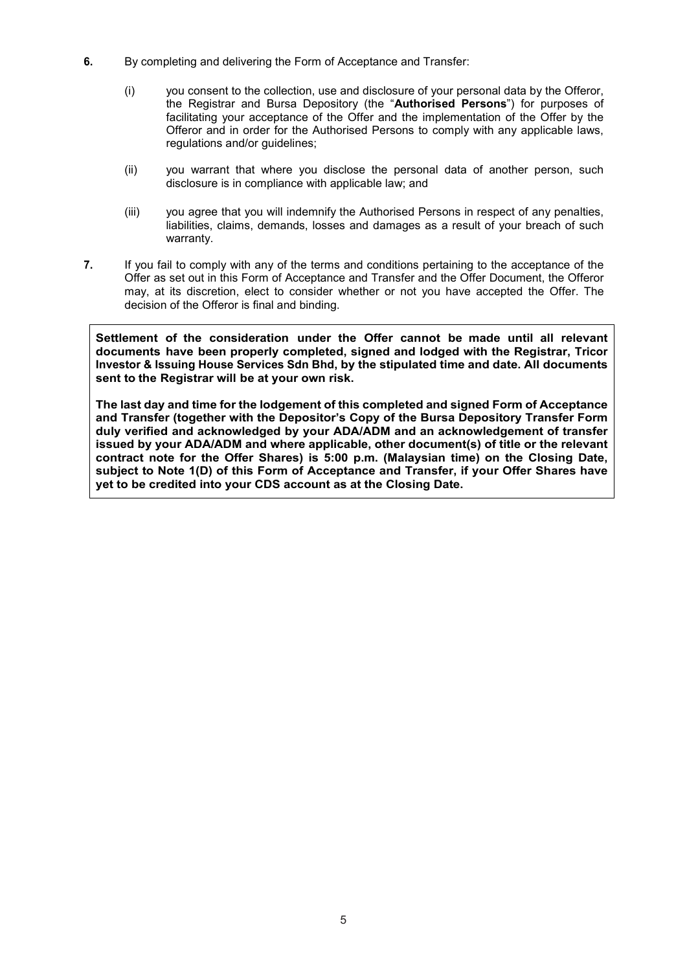- **6.** By completing and delivering the Form of Acceptance and Transfer:
	- (i) you consent to the collection, use and disclosure of your personal data by the Offeror, the Registrar and Bursa Depository (the "**Authorised Persons**") for purposes of facilitating your acceptance of the Offer and the implementation of the Offer by the Offeror and in order for the Authorised Persons to comply with any applicable laws, regulations and/or guidelines;
	- (ii) you warrant that where you disclose the personal data of another person, such disclosure is in compliance with applicable law; and
	- (iii) you agree that you will indemnify the Authorised Persons in respect of any penalties, liabilities, claims, demands, losses and damages as a result of your breach of such warranty.
- **7.** If you fail to comply with any of the terms and conditions pertaining to the acceptance of the Offer as set out in this Form of Acceptance and Transfer and the Offer Document, the Offeror may, at its discretion, elect to consider whether or not you have accepted the Offer. The decision of the Offeror is final and binding.

**Settlement of the consideration under the Offer cannot be made until all relevant documents have been properly completed, signed and lodged with the Registrar, Tricor Investor & Issuing House Services Sdn Bhd, by the stipulated time and date. All documents sent to the Registrar will be at your own risk.** 

**The last day and time for the lodgement of this completed and signed Form of Acceptance and Transfer (together with the Depositor's Copy of the Bursa Depository Transfer Form duly verified and acknowledged by your ADA/ADM and an acknowledgement of transfer issued by your ADA/ADM and where applicable, other document(s) of title or the relevant contract note for the Offer Shares) is 5:00 p.m. (Malaysian time) on the Closing Date, subject to Note 1(D) of this Form of Acceptance and Transfer, if your Offer Shares have yet to be credited into your CDS account as at the Closing Date.**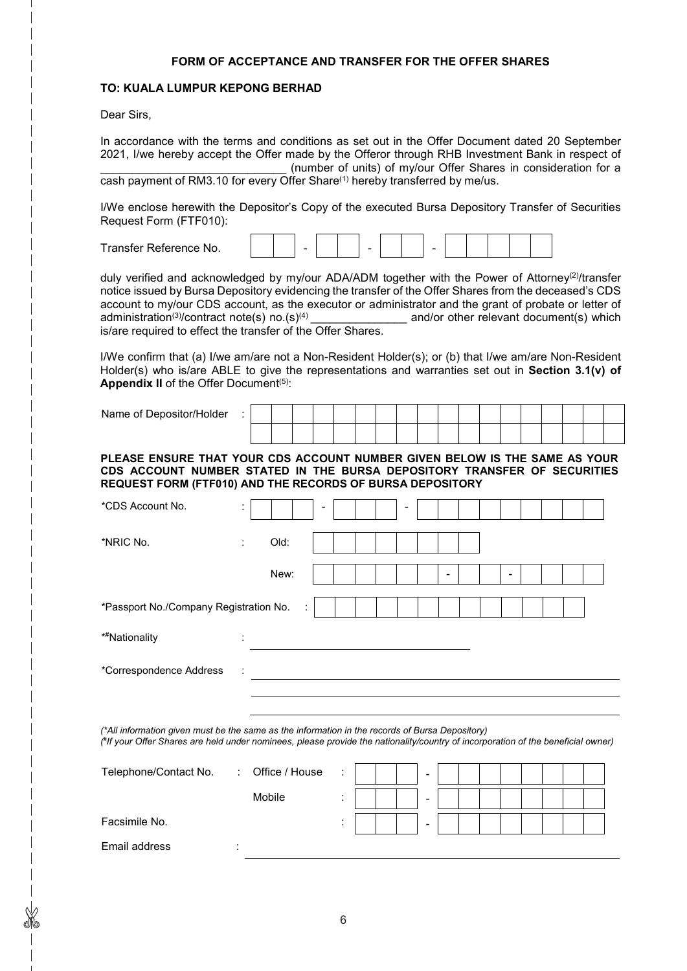#### **FORM OF ACCEPTANCE AND TRANSFER FOR THE OFFER SHARES**

#### **TO: KUALA LUMPUR KEPONG BERHAD**

Dear Sirs,

In accordance with the terms and conditions as set out in the Offer Document dated 20 September 2021, I/we hereby accept the Offer made by the Offeror through RHB Investment Bank in respect of (number of units) of my/our Offer Shares in consideration for a cash payment of RM3.10 for every Offer Share<sup>(1)</sup> hereby transferred by me/us.

I/We enclose herewith the Depositor's Copy of the executed Bursa Depository Transfer of Securities Request Form (FTF010):

| $\mathbf{\mathbf{r}}$<br>l ranster Reterence<br>≧No. |  | - |  |  | - |  |  |  |
|------------------------------------------------------|--|---|--|--|---|--|--|--|
|                                                      |  |   |  |  |   |  |  |  |

duly verified and acknowledged by my/our ADA/ADM together with the Power of Attorney(2)/transfer notice issued by Bursa Depository evidencing the transfer of the Offer Shares from the deceased's CDS account to my/our CDS account, as the executor or administrator and the grant of probate or letter of administration<sup>(3)</sup>/contract note(s) no.(s)<sup>(4)</sup> \_\_\_\_\_\_\_\_\_\_\_\_\_\_\_\_\_\_\_\_ and/or other relevant document(s) which is/are required to effect the transfer of the Offer Shares.

I/We confirm that (a) I/we am/are not a Non-Resident Holder(s); or (b) that I/we am/are Non-Resident Holder(s) who is/are ABLE to give the representations and warranties set out in **Section 3.1(v) of Appendix II** of the Offer Document<sup>(5)</sup>:

Name of Depositor/Holder :

**PLEASE ENSURE THAT YOUR CDS ACCOUNT NUMBER GIVEN BELOW IS THE SAME AS YOUR CDS ACCOUNT NUMBER STATED IN THE BURSA DEPOSITORY TRANSFER OF SECURITIES REQUEST FORM (FTF010) AND THE RECORDS OF BURSA DEPOSITORY**

| *CDS Account No.                       | ٠<br>$\cdot$ |      |   | $\overline{\phantom{a}}$ |  | $\overline{\phantom{a}}$ |   |  |   |  |  |  |
|----------------------------------------|--------------|------|---|--------------------------|--|--------------------------|---|--|---|--|--|--|
| *NRIC No.                              | ÷            | Old: |   |                          |  |                          |   |  |   |  |  |  |
|                                        |              |      |   |                          |  |                          |   |  |   |  |  |  |
|                                        |              | New: |   |                          |  |                          | - |  | - |  |  |  |
| *Passport No./Company Registration No. |              |      | ÷ |                          |  |                          |   |  |   |  |  |  |
| * <sup>#</sup> Nationality             | ٠<br>$\cdot$ |      |   |                          |  |                          |   |  |   |  |  |  |
| *Correspondence Address                |              |      |   |                          |  |                          |   |  |   |  |  |  |
|                                        |              |      |   |                          |  |                          |   |  |   |  |  |  |
|                                        |              |      |   |                          |  |                          |   |  |   |  |  |  |

*(\*All information given must be the same as the information in the records of Bursa Depository) ( # If your Offer Shares are held under nominees, please provide the nationality/country of incorporation of the beneficial owner)*

| Telephone/Contact No. | : Office / House | ÷ |  | $\overline{\phantom{0}}$ |  |  |  |  |
|-----------------------|------------------|---|--|--------------------------|--|--|--|--|
|                       | Mobile           |   |  | $\overline{\phantom{0}}$ |  |  |  |  |
| Facsimile No.         |                  |   |  | $\overline{\phantom{0}}$ |  |  |  |  |
| Email address         |                  |   |  |                          |  |  |  |  |